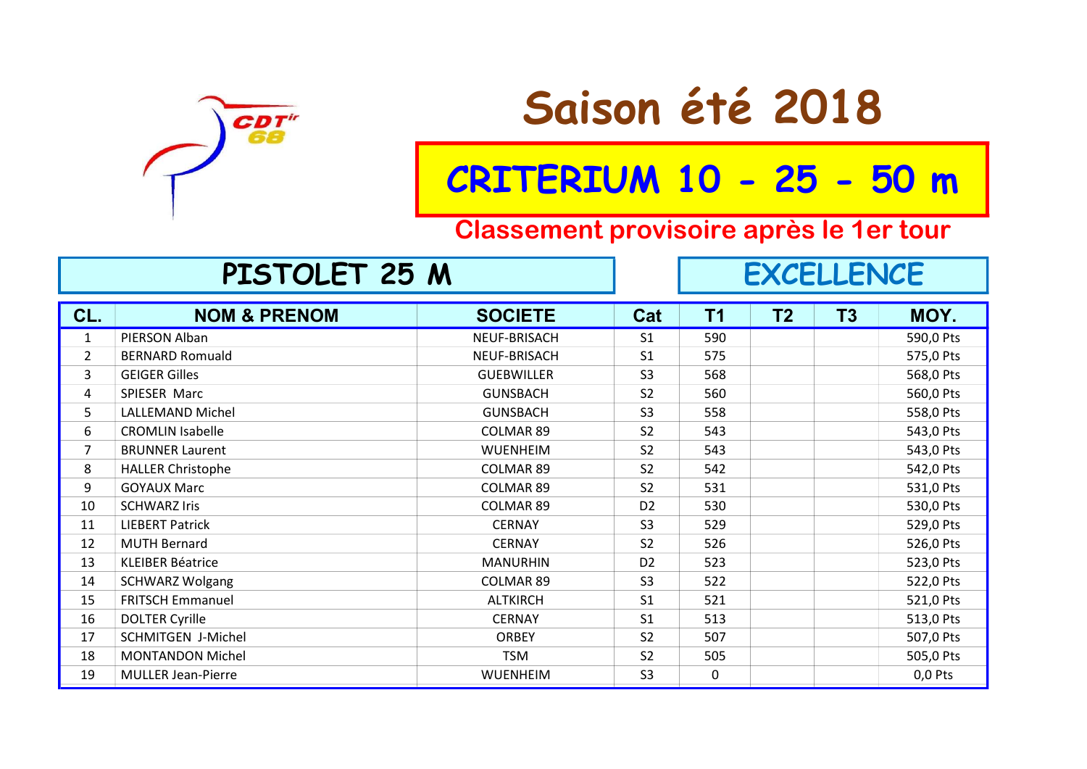

# Saison été 2018

## CRITERIUM 10 - 25 - 50 m

#### Classement provisoire après le 1er tour

#### CL. NOM & PRENOM SOCIETE Cat T1 T2 T3 MOY. design to the UF-BRISACH of the Second of the Second State of the Second of the Second of the Second Second Second Second Second Second Second Second Second Second Second Second Second Second Second Second Second Second Se a BERNARD Romuald Communist Communist Communist Communist Communist Communist Communist Communist Communist Communist Communist Communist Communist Communist Communist Communist Communist Communist Communist Communist Comm 3 GEIGER Gilles GUEBWILLER S3 568 568,0 Pts A SPIESER Marc Sand School (Sunsback School of Sand School of School School School School School School School EXALLEMAND Michel GUNSBACH S3 558 558,0 Pts e CROMLIN Isabelle COLMAR 89 S2 543 543,0 Pts 7 BRUNNER Laurent WUENHEIM S2 543 0 543,0 Pts 8 HALLER Christophe COLMAR 89 32 542 542,0 Pts end the COLMAR 89 Space of the Sample State of the State State State State State State State State State State State State State State State State State State State State State State State State State State State State Sta 10 SCHWARZ Iris 6530,0 Pts 11 LIEBERT Patrick CERNAY S3 529 S29,0 Pts 12 MUTH Bernard CERNAY S2 526 526 526,0 Pts 13 KLEIBER Béatrice **MANURHIN DE SEAU ESTES EN SEAU ESTES EN SE** 14 SCHWARZ Wolgang COLMAR 89 S3 522 SERIES SALL SERIES SAN SERIES SAN SERIES SAN SERIES SAN SERIES SAN SERIES 15 FRITSCH Emmanuel **ALTKIRCH** ALTKIRCH S1 521 521,0 Pts 16 DOLTER Cyrille **CERNAY** S1 513 513,0 Pts 17 SCHMITGEN J-Michel ORBEY S2 507 507,0 Pts and the MONTANDON Michel Contract of the TSM S2 505 505,0 Pts 19 MULLER Jean-Pierre WUENHEIM S3 0 0,0 Pts **EXCELLENCE** PISTOLET 25 M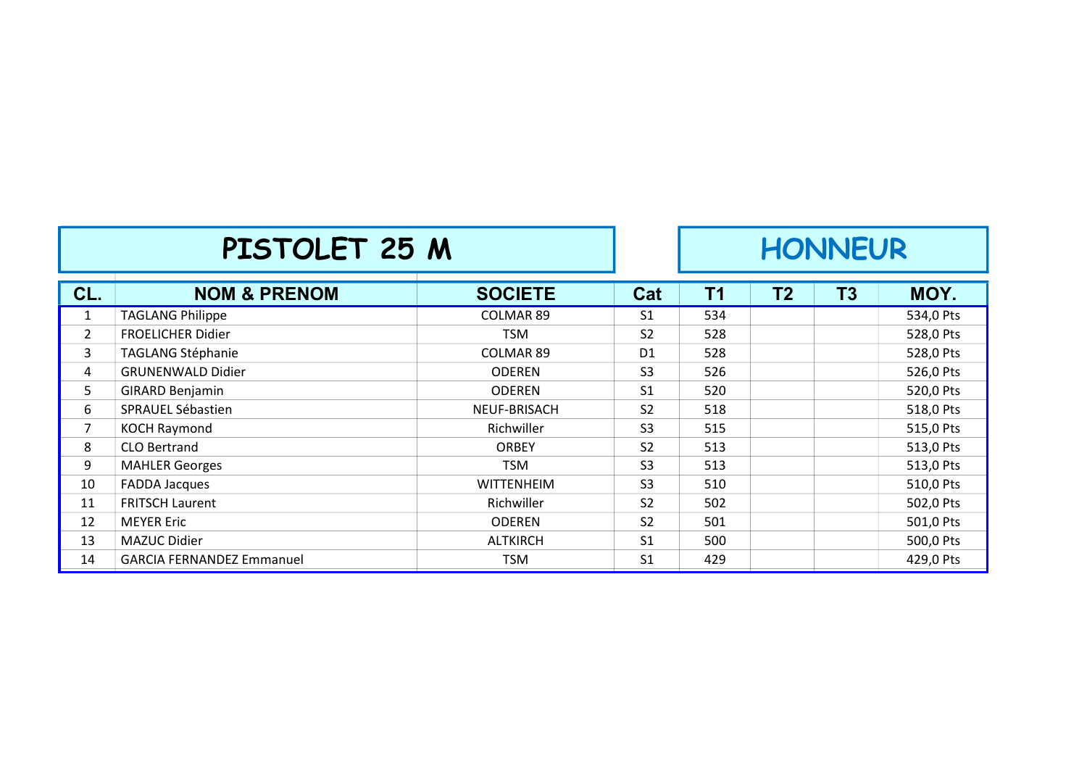|                | PISTOLET 25 M                    |                   |                | <b>HONNEUR</b> |    |    |           |
|----------------|----------------------------------|-------------------|----------------|----------------|----|----|-----------|
| CL.            | <b>NOM &amp; PRENOM</b>          | <b>SOCIETE</b>    | Cat            | <b>T1</b>      | Τ2 | T3 | MOY.      |
| $\mathbf{1}$   | <b>TAGLANG Philippe</b>          | <b>COLMAR 89</b>  | S <sub>1</sub> | 534            |    |    | 534,0 Pts |
| $\overline{2}$ | <b>FROELICHER Didier</b>         | <b>TSM</b>        | S <sub>2</sub> | 528            |    |    | 528,0 Pts |
| 3              | <b>TAGLANG Stéphanie</b>         | <b>COLMAR 89</b>  | D <sub>1</sub> | 528            |    |    | 528,0 Pts |
| 4              | <b>GRUNENWALD Didier</b>         | <b>ODEREN</b>     | S <sub>3</sub> | 526            |    |    | 526,0 Pts |
| 5              | <b>GIRARD Benjamin</b>           | <b>ODEREN</b>     | S <sub>1</sub> | 520            |    |    | 520,0 Pts |
| 6              | SPRAUEL Sébastien                | NEUF-BRISACH      | S <sub>2</sub> | 518            |    |    | 518,0 Pts |
| 7              | <b>KOCH Raymond</b>              | Richwiller        | S <sub>3</sub> | 515            |    |    | 515,0 Pts |
| 8              | <b>CLO Bertrand</b>              | <b>ORBEY</b>      | S <sub>2</sub> | 513            |    |    | 513,0 Pts |
| 9              | <b>MAHLER Georges</b>            | <b>TSM</b>        | S <sub>3</sub> | 513            |    |    | 513,0 Pts |
| 10             | <b>FADDA Jacques</b>             | <b>WITTENHEIM</b> | S <sub>3</sub> | 510            |    |    | 510,0 Pts |
| 11             | <b>FRITSCH Laurent</b>           | Richwiller        | S <sub>2</sub> | 502            |    |    | 502,0 Pts |
| 12             | <b>MEYER Eric</b>                | <b>ODEREN</b>     | S <sub>2</sub> | 501            |    |    | 501,0 Pts |
| 13             | MAZUC Didier                     | <b>ALTKIRCH</b>   | S <sub>1</sub> | 500            |    |    | 500,0 Pts |
| 14             | <b>GARCIA FERNANDEZ Emmanuel</b> | <b>TSM</b>        | S <sub>1</sub> | 429            |    |    | 429,0 Pts |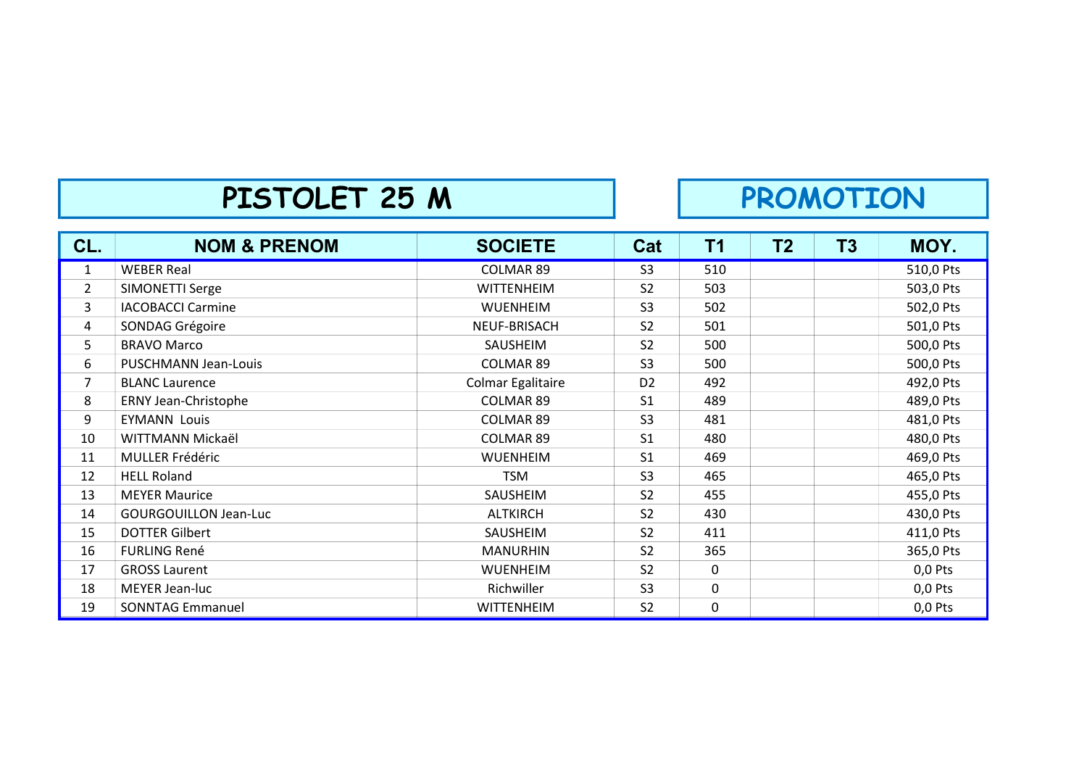### PISTOLET 25 M PROMOTION

| CL.            | <b>NOM &amp; PRENOM</b>      | <b>SOCIETE</b>    | Cat            | T1          | T <sub>2</sub> | <b>T3</b> | MOY.      |
|----------------|------------------------------|-------------------|----------------|-------------|----------------|-----------|-----------|
| $\mathbf{1}$   | <b>WEBER Real</b>            | <b>COLMAR 89</b>  | S <sub>3</sub> | 510         |                |           | 510,0 Pts |
| $\overline{2}$ | SIMONETTI Serge              | <b>WITTENHEIM</b> | S <sub>2</sub> | 503         |                |           | 503,0 Pts |
| 3              | <b>IACOBACCI Carmine</b>     | <b>WUENHEIM</b>   | S <sub>3</sub> | 502         |                |           | 502,0 Pts |
| 4              | SONDAG Grégoire              | NEUF-BRISACH      | S <sub>2</sub> | 501         |                |           | 501,0 Pts |
| 5              | <b>BRAVO Marco</b>           | SAUSHEIM          | S <sub>2</sub> | 500         |                |           | 500,0 Pts |
| 6              | PUSCHMANN Jean-Louis         | COLMAR 89         | S <sub>3</sub> | 500         |                |           | 500,0 Pts |
| $\overline{7}$ | <b>BLANC Laurence</b>        | Colmar Egalitaire | D <sub>2</sub> | 492         |                |           | 492,0 Pts |
| 8              | ERNY Jean-Christophe         | COLMAR 89         | S <sub>1</sub> | 489         |                |           | 489,0 Pts |
| 9              | <b>EYMANN Louis</b>          | COLMAR 89         | S <sub>3</sub> | 481         |                |           | 481,0 Pts |
| 10             | WITTMANN Mickaël             | <b>COLMAR 89</b>  | S <sub>1</sub> | 480         |                |           | 480,0 Pts |
| 11             | <b>MULLER Frédéric</b>       | <b>WUENHEIM</b>   | S <sub>1</sub> | 469         |                |           | 469,0 Pts |
| 12             | <b>HELL Roland</b>           | <b>TSM</b>        | S <sub>3</sub> | 465         |                |           | 465,0 Pts |
| 13             | <b>MEYER Maurice</b>         | SAUSHEIM          | S <sub>2</sub> | 455         |                |           | 455,0 Pts |
| 14             | <b>GOURGOUILLON Jean-Luc</b> | <b>ALTKIRCH</b>   | S <sub>2</sub> | 430         |                |           | 430,0 Pts |
| 15             | <b>DOTTER Gilbert</b>        | SAUSHEIM          | S <sub>2</sub> | 411         |                |           | 411,0 Pts |
| 16             | <b>FURLING René</b>          | <b>MANURHIN</b>   | S <sub>2</sub> | 365         |                |           | 365,0 Pts |
| 17             | <b>GROSS Laurent</b>         | <b>WUENHEIM</b>   | S <sub>2</sub> | 0           |                |           | $0,0$ Pts |
| 18             | MEYER Jean-luc               | Richwiller        | S <sub>3</sub> | $\mathbf 0$ |                |           | $0,0$ Pts |
| 19             | <b>SONNTAG Emmanuel</b>      | <b>WITTENHEIM</b> | S <sub>2</sub> | 0           |                |           | 0,0 Pts   |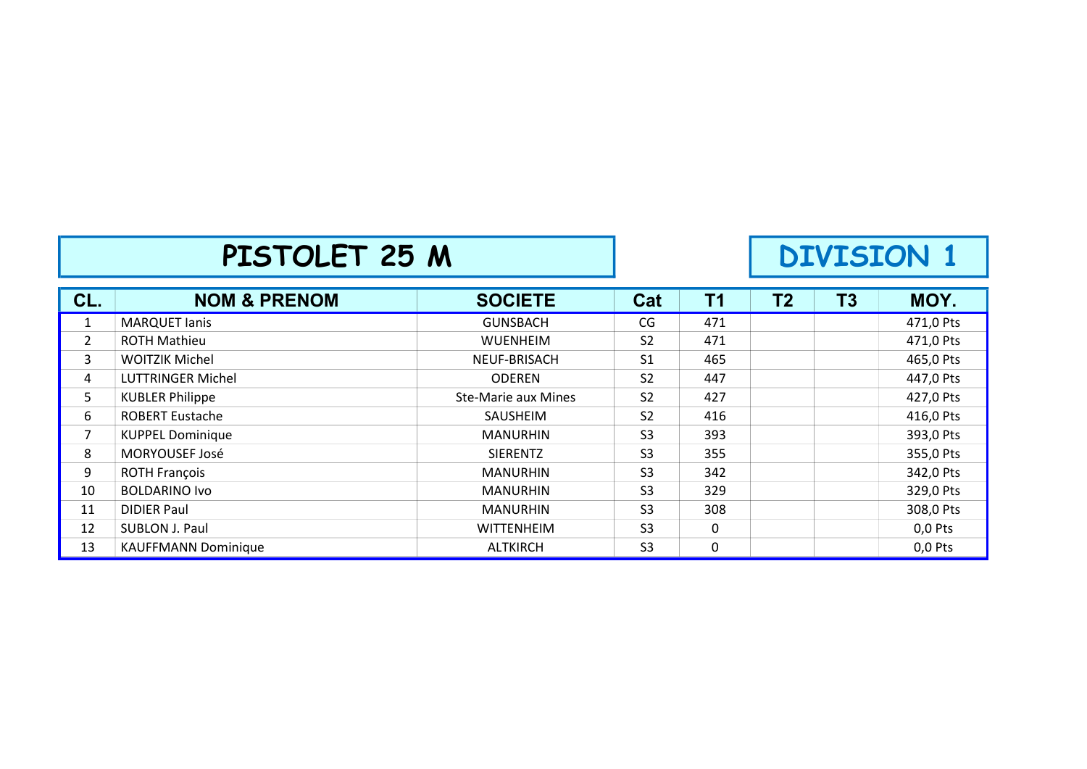#### PISTOLET 25 M DIVISION 1

| CL.            | <b>NOM &amp; PRENOM</b>    | <b>SOCIETE</b>      | Cat            | T <sub>1</sub> | T <sub>2</sub> | T3 | MOY.      |
|----------------|----------------------------|---------------------|----------------|----------------|----------------|----|-----------|
| 1              | <b>MARQUET lanis</b>       | <b>GUNSBACH</b>     | CG             | 471            |                |    | 471,0 Pts |
| $\overline{2}$ | <b>ROTH Mathieu</b>        | <b>WUENHEIM</b>     | S <sub>2</sub> | 471            |                |    | 471,0 Pts |
| 3              | <b>WOITZIK Michel</b>      | NEUF-BRISACH        | S <sub>1</sub> | 465            |                |    | 465,0 Pts |
| 4              | <b>LUTTRINGER Michel</b>   | <b>ODEREN</b>       | S <sub>2</sub> | 447            |                |    | 447,0 Pts |
| 5              | <b>KUBLER Philippe</b>     | Ste-Marie aux Mines | <b>S2</b>      | 427            |                |    | 427,0 Pts |
| 6              | <b>ROBERT Eustache</b>     | SAUSHEIM            | S <sub>2</sub> | 416            |                |    | 416,0 Pts |
| 7              | <b>KUPPEL Dominique</b>    | <b>MANURHIN</b>     | S <sub>3</sub> | 393            |                |    | 393,0 Pts |
| 8              | MORYOUSEF José             | <b>SIERENTZ</b>     | S <sub>3</sub> | 355            |                |    | 355,0 Pts |
| 9              | <b>ROTH François</b>       | <b>MANURHIN</b>     | S <sub>3</sub> | 342            |                |    | 342,0 Pts |
| 10             | <b>BOLDARINO Ivo</b>       | <b>MANURHIN</b>     | S <sub>3</sub> | 329            |                |    | 329,0 Pts |
| 11             | <b>DIDIER Paul</b>         | <b>MANURHIN</b>     | S <sub>3</sub> | 308            |                |    | 308,0 Pts |
| 12             | SUBLON J. Paul             | <b>WITTENHEIM</b>   | S <sub>3</sub> | 0              |                |    | $0,0$ Pts |
| 13             | <b>KAUFFMANN Dominique</b> | <b>ALTKIRCH</b>     | S <sub>3</sub> | 0              |                |    | $0,0$ Pts |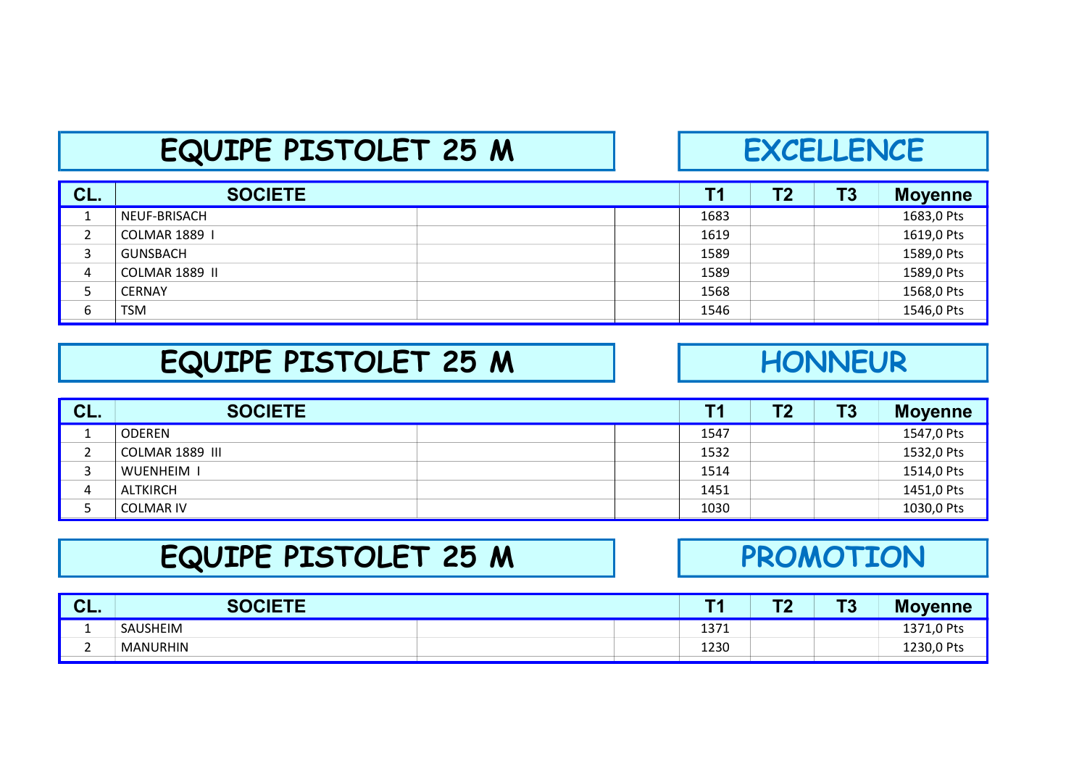#### EQUIPE PISTOLET 25 M | EXCELLENCE

| CL. | <b>SOCIETE</b>       | T1   | Τ2 | T3 | <b>Moyenne</b> |
|-----|----------------------|------|----|----|----------------|
|     | NEUF-BRISACH         | 1683 |    |    | 1683,0 Pts     |
| ີ   | <b>COLMAR 1889 1</b> | 1619 |    |    | 1619,0 Pts     |
|     | <b>GUNSBACH</b>      | 1589 |    |    | 1589,0 Pts     |
| 4   | COLMAR 1889 II       | 1589 |    |    | 1589,0 Pts     |
|     | <b>CERNAY</b>        | 1568 |    |    | 1568,0 Pts     |
| 6   | <b>TSM</b>           | 1546 |    |    | 1546,0 Pts     |

#### EQUIPE PISTOLET 25 M

#### **HONNEUR**

| CL. | <b>SOCIETE</b>   |  |      | T2 | T <sub>3</sub> | <b>Moyenne</b> |
|-----|------------------|--|------|----|----------------|----------------|
|     | <b>ODEREN</b>    |  | 1547 |    |                | 1547,0 Pts     |
|     | COLMAR 1889 III  |  | 1532 |    |                | 1532,0 Pts     |
|     | WUENHEIM I       |  | 1514 |    |                | 1514,0 Pts     |
| 4   | ALTKIRCH         |  | 1451 |    |                | 1451,0 Pts     |
|     | <b>COLMAR IV</b> |  | 1030 |    |                | 1030,0 Pts     |

### EQUIPE PISTOLET 25 M

#### PROMOTION

| $\sim$<br>VL. | <b>SOCIETE</b>  | <b>TA</b> | <b>TO</b><br>. . | TО<br>ು | <b>Moyenne</b> |
|---------------|-----------------|-----------|------------------|---------|----------------|
|               | SAUSHEIM        | 1371      |                  |         | 1371,0 Pts     |
|               | <b>MANURHIN</b> | 1230      |                  |         | 1230,0 Pts     |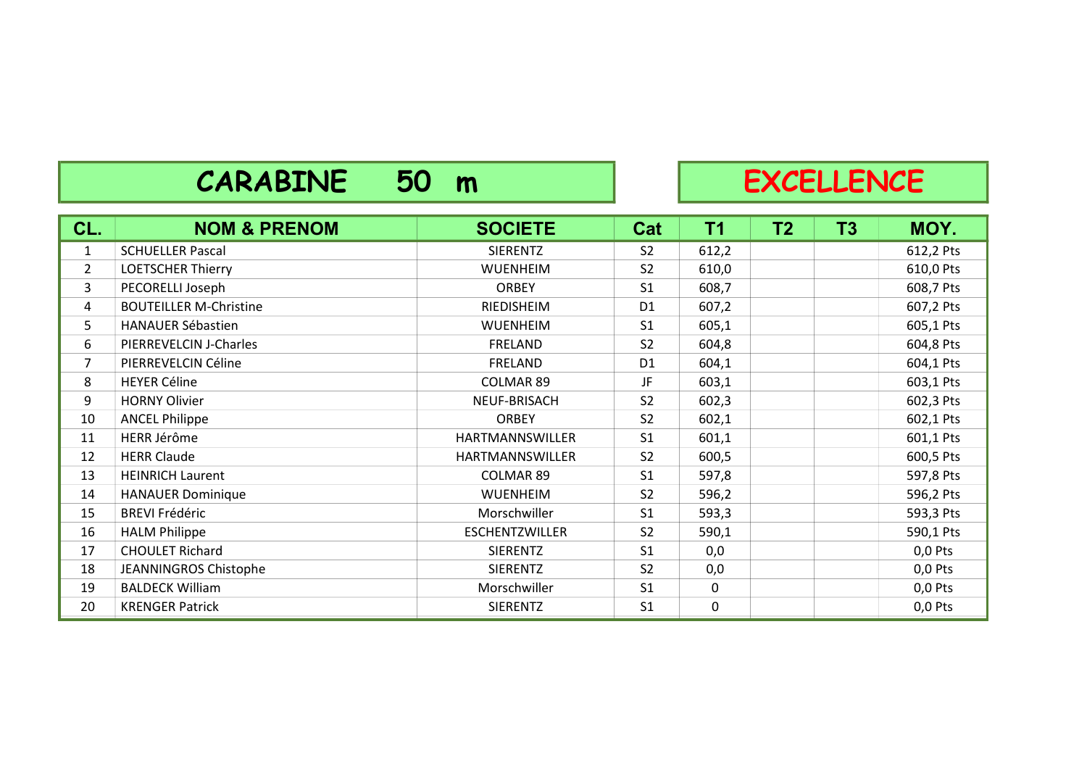### CARABINE 50 m RXCELLENCE

| CL.            | <b>NOM &amp; PRENOM</b>       | <b>SOCIETE</b>        | Cat            | T1          | <b>T2</b> | T <sub>3</sub> | MOY.      |
|----------------|-------------------------------|-----------------------|----------------|-------------|-----------|----------------|-----------|
| $\mathbf{1}$   | <b>SCHUELLER Pascal</b>       | <b>SIERENTZ</b>       | S <sub>2</sub> | 612,2       |           |                | 612,2 Pts |
| $\overline{2}$ | <b>LOETSCHER Thierry</b>      | <b>WUENHEIM</b>       | S <sub>2</sub> | 610,0       |           |                | 610,0 Pts |
| 3              | PECORELLI Joseph              | <b>ORBEY</b>          | S <sub>1</sub> | 608,7       |           |                | 608,7 Pts |
| 4              | <b>BOUTEILLER M-Christine</b> | RIEDISHEIM            | D <sub>1</sub> | 607,2       |           |                | 607,2 Pts |
| 5              | <b>HANAUER Sébastien</b>      | <b>WUENHEIM</b>       | S <sub>1</sub> | 605,1       |           |                | 605,1 Pts |
| 6              | PIERREVELCIN J-Charles        | FRELAND               | S <sub>2</sub> | 604,8       |           |                | 604,8 Pts |
| 7              | PIERREVELCIN Céline           | FRELAND               | D <sub>1</sub> | 604,1       |           |                | 604,1 Pts |
| 8              | <b>HEYER Céline</b>           | <b>COLMAR 89</b>      | JF             | 603,1       |           |                | 603,1 Pts |
| 9              | <b>HORNY Olivier</b>          | NEUF-BRISACH          | S <sub>2</sub> | 602,3       |           |                | 602,3 Pts |
| 10             | <b>ANCEL Philippe</b>         | <b>ORBEY</b>          | S <sub>2</sub> | 602,1       |           |                | 602,1 Pts |
| 11             | HERR Jérôme                   | HARTMANNSWILLER       | S <sub>1</sub> | 601,1       |           |                | 601,1 Pts |
| 12             | <b>HERR Claude</b>            | HARTMANNSWILLER       | S <sub>2</sub> | 600,5       |           |                | 600,5 Pts |
| 13             | <b>HEINRICH Laurent</b>       | COLMAR 89             | S <sub>1</sub> | 597,8       |           |                | 597,8 Pts |
| 14             | <b>HANAUER Dominique</b>      | <b>WUENHEIM</b>       | S <sub>2</sub> | 596,2       |           |                | 596,2 Pts |
| 15             | <b>BREVI Frédéric</b>         | Morschwiller          | S <sub>1</sub> | 593,3       |           |                | 593,3 Pts |
| 16             | <b>HALM Philippe</b>          | <b>ESCHENTZWILLER</b> | S <sub>2</sub> | 590,1       |           |                | 590,1 Pts |
| 17             | <b>CHOULET Richard</b>        | <b>SIERENTZ</b>       | S <sub>1</sub> | 0,0         |           |                | $0,0$ Pts |
| 18             | <b>JEANNINGROS Chistophe</b>  | <b>SIERENTZ</b>       | S <sub>2</sub> | 0,0         |           |                | $0,0$ Pts |
| 19             | <b>BALDECK William</b>        | Morschwiller          | S <sub>1</sub> | $\mathbf 0$ |           |                | $0,0$ Pts |
| 20             | <b>KRENGER Patrick</b>        | <b>SIERENTZ</b>       | S <sub>1</sub> | $\mathbf 0$ |           |                | $0,0$ Pts |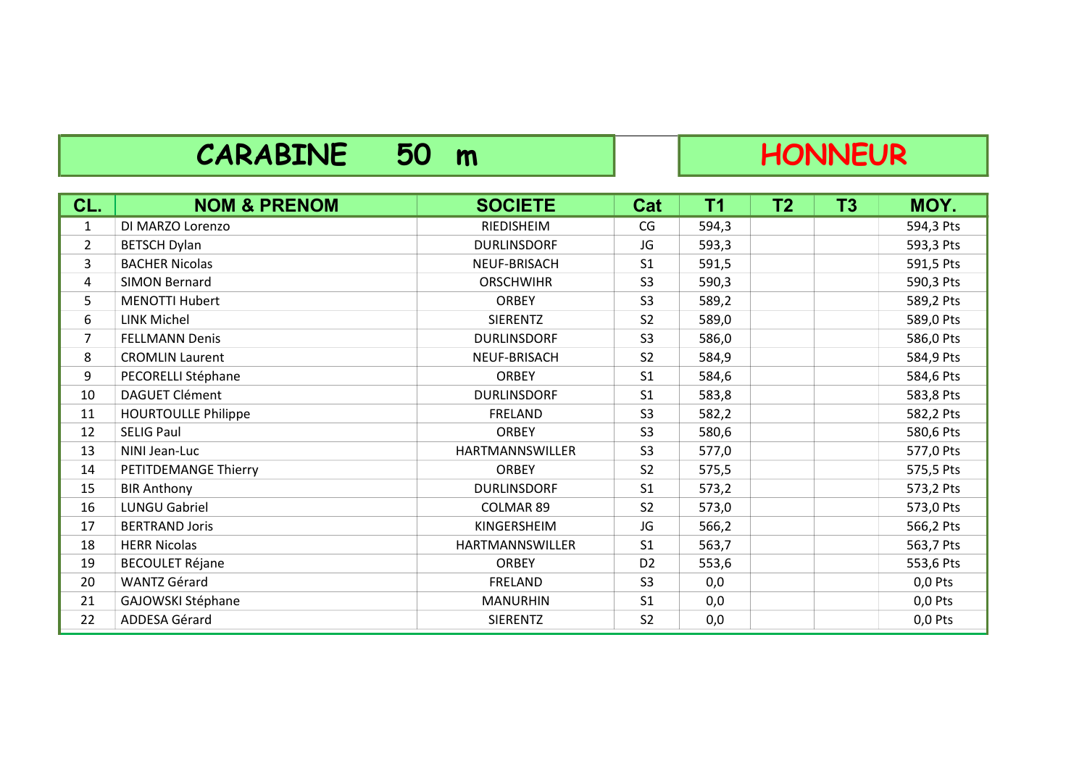### CARABINE 50 m HONNEUR

| CL.            | <b>NOM &amp; PRENOM</b>    | <b>SOCIETE</b>         | <b>Cat</b>     | <b>T1</b> | <b>T2</b> | T <sub>3</sub> | MOY.      |
|----------------|----------------------------|------------------------|----------------|-----------|-----------|----------------|-----------|
| 1              | DI MARZO Lorenzo           | RIEDISHEIM             | CG             | 594,3     |           |                | 594,3 Pts |
| $\overline{2}$ | <b>BETSCH Dylan</b>        | <b>DURLINSDORF</b>     | JG             | 593,3     |           |                | 593,3 Pts |
| 3              | <b>BACHER Nicolas</b>      | NEUF-BRISACH           | S <sub>1</sub> | 591,5     |           |                | 591,5 Pts |
| 4              | <b>SIMON Bernard</b>       | <b>ORSCHWIHR</b>       | S <sub>3</sub> | 590,3     |           |                | 590,3 Pts |
| 5              | <b>MENOTTI Hubert</b>      | <b>ORBEY</b>           | S <sub>3</sub> | 589,2     |           |                | 589,2 Pts |
| 6              | LINK Michel                | <b>SIERENTZ</b>        | S <sub>2</sub> | 589,0     |           |                | 589,0 Pts |
| $\overline{7}$ | <b>FELLMANN Denis</b>      | <b>DURLINSDORF</b>     | S <sub>3</sub> | 586,0     |           |                | 586,0 Pts |
| 8              | <b>CROMLIN Laurent</b>     | NEUF-BRISACH           | S <sub>2</sub> | 584,9     |           |                | 584,9 Pts |
| 9              | PECORELLI Stéphane         | <b>ORBEY</b>           | S <sub>1</sub> | 584,6     |           |                | 584,6 Pts |
| 10             | <b>DAGUET Clément</b>      | <b>DURLINSDORF</b>     | S <sub>1</sub> | 583,8     |           |                | 583,8 Pts |
| 11             | <b>HOURTOULLE Philippe</b> | FRELAND                | S <sub>3</sub> | 582,2     |           |                | 582,2 Pts |
| 12             | <b>SELIG Paul</b>          | <b>ORBEY</b>           | S <sub>3</sub> | 580,6     |           |                | 580,6 Pts |
| 13             | NINI Jean-Luc              | HARTMANNSWILLER        | S <sub>3</sub> | 577,0     |           |                | 577,0 Pts |
| 14             | PETITDEMANGE Thierry       | <b>ORBEY</b>           | S <sub>2</sub> | 575,5     |           |                | 575,5 Pts |
| 15             | <b>BIR Anthony</b>         | <b>DURLINSDORF</b>     | S <sub>1</sub> | 573,2     |           |                | 573,2 Pts |
| 16             | <b>LUNGU Gabriel</b>       | <b>COLMAR 89</b>       | S <sub>2</sub> | 573,0     |           |                | 573,0 Pts |
| 17             | <b>BERTRAND Joris</b>      | KINGERSHEIM            | JG             | 566,2     |           |                | 566,2 Pts |
| 18             | <b>HERR Nicolas</b>        | <b>HARTMANNSWILLER</b> | S <sub>1</sub> | 563,7     |           |                | 563,7 Pts |
| 19             | <b>BECOULET Réjane</b>     | <b>ORBEY</b>           | D <sub>2</sub> | 553,6     |           |                | 553,6 Pts |
| 20             | <b>WANTZ Gérard</b>        | <b>FRELAND</b>         | S <sub>3</sub> | 0,0       |           |                | $0,0$ Pts |
| 21             | GAJOWSKI Stéphane          | <b>MANURHIN</b>        | S <sub>1</sub> | 0,0       |           |                | $0,0$ Pts |
| 22             | ADDESA Gérard              | <b>SIERENTZ</b>        | S <sub>2</sub> | 0,0       |           |                | $0,0$ Pts |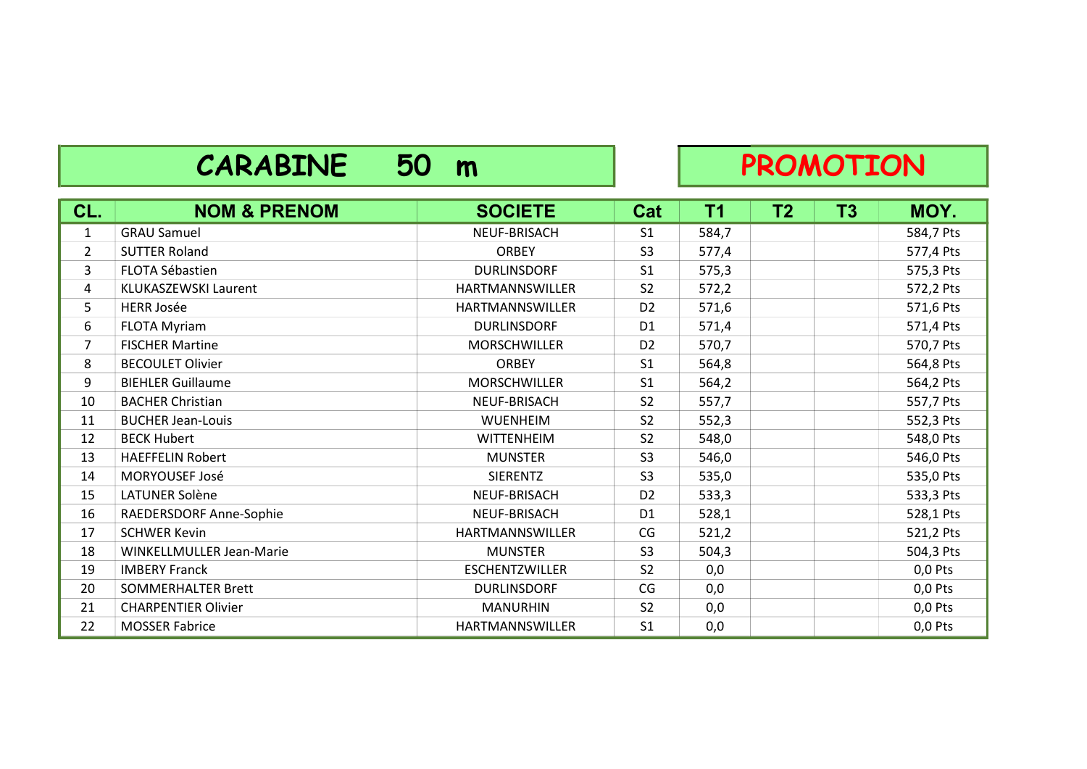### CARABINE 50 m PROMOTION

| CL.            | <b>NOM &amp; PRENOM</b>     | <b>SOCIETE</b>         | Cat            | <b>T1</b> | T <sub>2</sub> | T3 | MOY.      |
|----------------|-----------------------------|------------------------|----------------|-----------|----------------|----|-----------|
| $\mathbf{1}$   | <b>GRAU Samuel</b>          | NEUF-BRISACH           | S <sub>1</sub> | 584,7     |                |    | 584,7 Pts |
| $\overline{2}$ | <b>SUTTER Roland</b>        | <b>ORBEY</b>           | S <sub>3</sub> | 577,4     |                |    | 577,4 Pts |
| 3              | FLOTA Sébastien             | <b>DURLINSDORF</b>     | S <sub>1</sub> | 575,3     |                |    | 575,3 Pts |
| 4              | <b>KLUKASZEWSKI Laurent</b> | <b>HARTMANNSWILLER</b> | S <sub>2</sub> | 572,2     |                |    | 572,2 Pts |
| 5              | <b>HERR Josée</b>           | <b>HARTMANNSWILLER</b> | D <sub>2</sub> | 571,6     |                |    | 571,6 Pts |
| 6              | <b>FLOTA Myriam</b>         | <b>DURLINSDORF</b>     | D <sub>1</sub> | 571,4     |                |    | 571,4 Pts |
| 7              | <b>FISCHER Martine</b>      | MORSCHWILLER           | D <sub>2</sub> | 570,7     |                |    | 570,7 Pts |
| 8              | <b>BECOULET Olivier</b>     | <b>ORBEY</b>           | S <sub>1</sub> | 564,8     |                |    | 564,8 Pts |
| 9              | <b>BIEHLER Guillaume</b>    | MORSCHWILLER           | S <sub>1</sub> | 564,2     |                |    | 564,2 Pts |
| 10             | <b>BACHER Christian</b>     | NEUF-BRISACH           | S <sub>2</sub> | 557,7     |                |    | 557,7 Pts |
| 11             | <b>BUCHER Jean-Louis</b>    | <b>WUENHEIM</b>        | S <sub>2</sub> | 552,3     |                |    | 552,3 Pts |
| 12             | <b>BECK Hubert</b>          | <b>WITTENHEIM</b>      | S <sub>2</sub> | 548,0     |                |    | 548,0 Pts |
| 13             | <b>HAEFFELIN Robert</b>     | <b>MUNSTER</b>         | S <sub>3</sub> | 546,0     |                |    | 546,0 Pts |
| 14             | MORYOUSEF José              | <b>SIERENTZ</b>        | S <sub>3</sub> | 535,0     |                |    | 535,0 Pts |
| 15             | LATUNER Solène              | NEUF-BRISACH           | D <sub>2</sub> | 533,3     |                |    | 533,3 Pts |
| 16             | RAEDERSDORF Anne-Sophie     | NEUF-BRISACH           | D <sub>1</sub> | 528,1     |                |    | 528,1 Pts |
| 17             | <b>SCHWER Kevin</b>         | HARTMANNSWILLER        | CG             | 521,2     |                |    | 521,2 Pts |
| 18             | WINKELLMULLER Jean-Marie    | <b>MUNSTER</b>         | S <sub>3</sub> | 504,3     |                |    | 504,3 Pts |
| 19             | <b>IMBERY Franck</b>        | <b>ESCHENTZWILLER</b>  | S <sub>2</sub> | 0,0       |                |    | $0,0$ Pts |
| 20             | <b>SOMMERHALTER Brett</b>   | <b>DURLINSDORF</b>     | CG             | 0,0       |                |    | $0,0$ Pts |
| 21             | <b>CHARPENTIER Olivier</b>  | <b>MANURHIN</b>        | S <sub>2</sub> | 0,0       |                |    | $0,0$ Pts |
| 22             | <b>MOSSER Fabrice</b>       | HARTMANNSWILLER        | S <sub>1</sub> | 0,0       |                |    | $0,0$ Pts |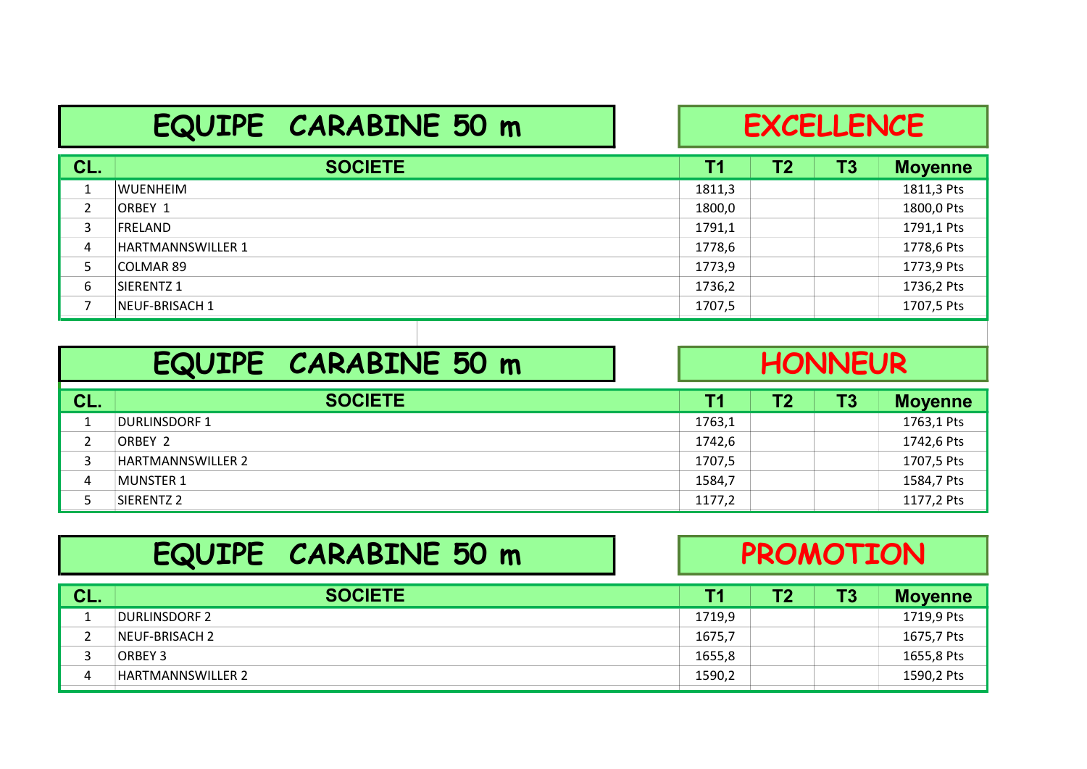### EQUIPE CARABINE 50 m

#### **EXCELLENCE**

| CL.            | <b>SOCIETE</b>    | Τ1     | Τ2 | Τ3 | <b>Moyenne</b> |
|----------------|-------------------|--------|----|----|----------------|
|                | <b>WUENHEIM</b>   | 1811,3 |    |    | 1811,3 Pts     |
| $\overline{2}$ | ORBEY 1           | 1800,0 |    |    | 1800,0 Pts     |
| 3              | <b>IFRELAND</b>   | 1791,1 |    |    | 1791,1 Pts     |
| 4              | HARTMANNSWILLER 1 | 1778,6 |    |    | 1778,6 Pts     |
|                | COLMAR 89         | 1773,9 |    |    | 1773,9 Pts     |
| 6              | ISIERENTZ 1       | 1736,2 |    |    | 1736,2 Pts     |
|                | NEUF-BRISACH 1    | 1707,5 |    |    | 1707,5 Pts     |

|     | EQUIPE CARABINE 50 m |           | <b>HONNEUR</b> |           |                |  |
|-----|----------------------|-----------|----------------|-----------|----------------|--|
| CL. | <b>SOCIETE</b>       | <b>T1</b> | T2             | <b>T3</b> | <b>Moyenne</b> |  |
|     | <b>DURLINSDORF 1</b> | 1763,1    |                |           | 1763,1 Pts     |  |
|     | ORBEY 2              | 1742,6    |                |           | 1742,6 Pts     |  |
| 3   | HARTMANNSWILLER 2    | 1707,5    |                |           | 1707,5 Pts     |  |
| 4   | <b>MUNSTER 1</b>     | 1584,7    |                |           | 1584,7 Pts     |  |
|     | SIERENTZ 2           | 1177,2    |                |           | 1177,2 Pts     |  |

|     | EQUIPE CARABINE 50 m     |        | <b>PROMOTION</b> |    |                |  |  |
|-----|--------------------------|--------|------------------|----|----------------|--|--|
| CL. | <b>SOCIETE</b>           | Τ1     | Τ2               | T3 | <b>Moyenne</b> |  |  |
|     | DURLINSDORF 2            | 1719,9 |                  |    | 1719,9 Pts     |  |  |
|     | NEUF-BRISACH 2           | 1675,7 |                  |    | 1675,7 Pts     |  |  |
|     | ORBEY 3                  | 1655,8 |                  |    | 1655,8 Pts     |  |  |
| 4   | <b>HARTMANNSWILLER 2</b> | 1590,2 |                  |    | 1590,2 Pts     |  |  |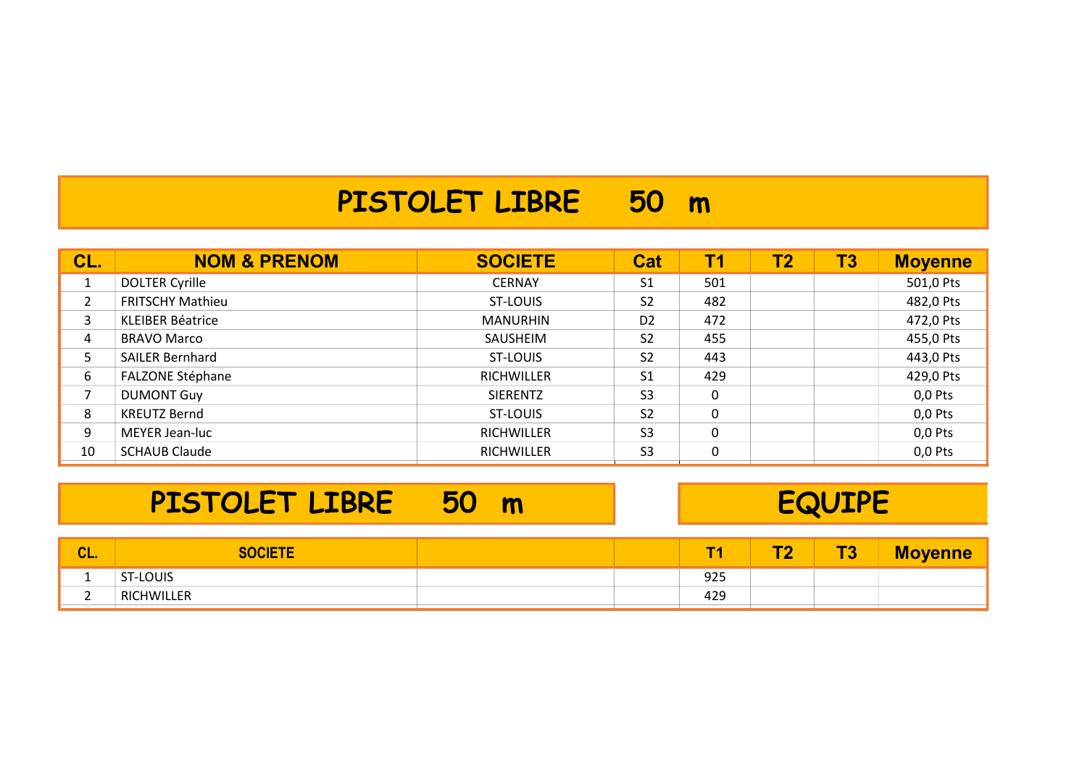#### PISTOLET LIBRE 50 m

| CL. | <b>NOM &amp; PRENOM</b> | <b>SOCIETE</b>    | <b>Cat</b>     | T1  | <b>T2</b> | <b>T3</b> | <b>Moyenne</b> |
|-----|-------------------------|-------------------|----------------|-----|-----------|-----------|----------------|
|     | DOLTER Cyrille          | <b>CERNAY</b>     | S <sub>1</sub> | 501 |           |           | 501,0 Pts      |
| 2   | <b>FRITSCHY Mathieu</b> | ST-LOUIS          | S <sub>2</sub> | 482 |           |           | 482,0 Pts      |
| 3   | <b>KLEIBER Béatrice</b> | <b>MANURHIN</b>   | D <sub>2</sub> | 472 |           |           | 472,0 Pts      |
| 4   | <b>BRAVO Marco</b>      | SAUSHEIM          | S <sub>2</sub> | 455 |           |           | 455,0 Pts      |
| 5   | <b>SAILER Bernhard</b>  | ST-LOUIS          | S <sub>2</sub> | 443 |           |           | 443,0 Pts      |
| 6   | <b>FALZONE Stéphane</b> | <b>RICHWILLER</b> | S <sub>1</sub> | 429 |           |           | 429,0 Pts      |
| 7   | <b>DUMONT Guy</b>       | <b>SIERENTZ</b>   | S <sub>3</sub> | 0   |           |           | $0,0$ Pts      |
| 8   | <b>KREUTZ Bernd</b>     | ST-LOUIS          | S <sub>2</sub> | 0   |           |           | $0,0$ Pts      |
| 9   | MEYER Jean-luc          | <b>RICHWILLER</b> | S <sub>3</sub> | 0   |           |           | $0,0$ Pts      |
| 10  | <b>SCHAUB Claude</b>    | <b>RICHWILLER</b> | S <sub>3</sub> | 0   |           |           | $0,0$ Pts      |
|     |                         |                   |                |     |           |           |                |

#### PISTOLET LIBRE 50 m Require

| ΔI<br>vL. | <u>'OCIET</u> | Œ.  | ŦЛ | <b>TA</b><br><b>AV</b> | <b>A</b><br><b>ane</b> |
|-----------|---------------|-----|----|------------------------|------------------------|
|           | ST-LOUIS      | 925 |    |                        |                        |
|           | RICHWILLER    | 429 |    |                        |                        |
|           |               |     |    |                        |                        |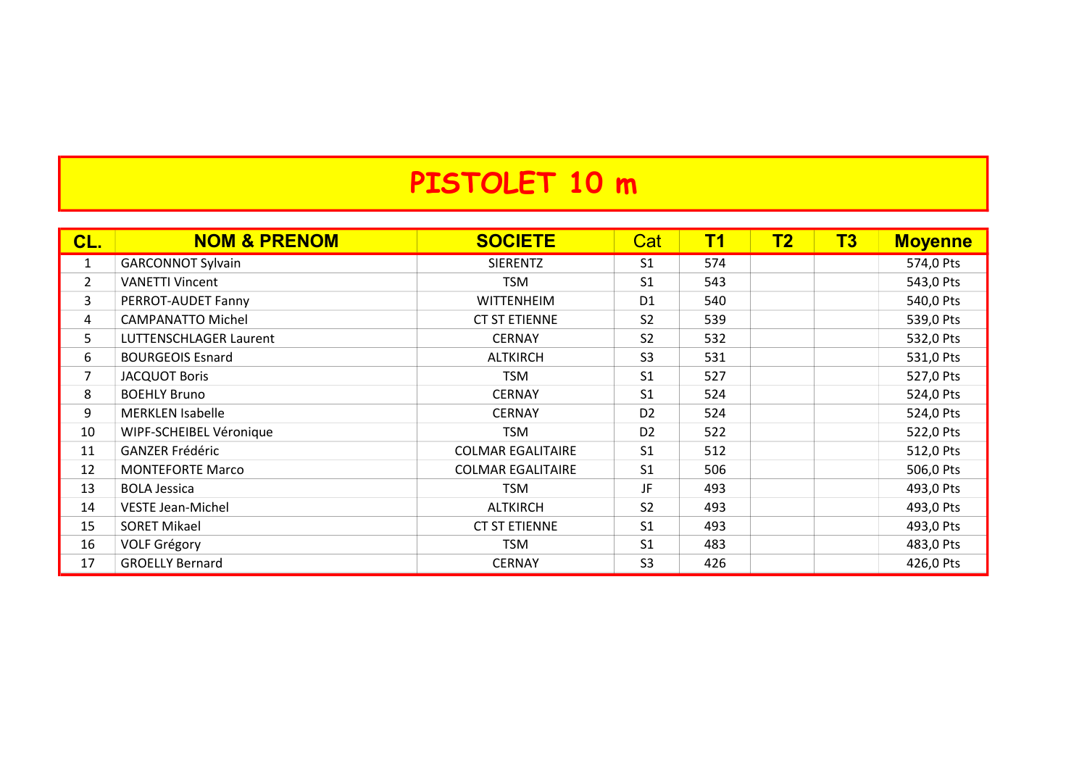### PISTOLET 10 m

| CL.            | <b>NOM &amp; PRENOM</b>  | <b>SOCIETE</b>           | Cat            | <b>T1</b> | T2 | <b>T3</b> | <b>Moyenne</b> |
|----------------|--------------------------|--------------------------|----------------|-----------|----|-----------|----------------|
| $\mathbf{1}$   | <b>GARCONNOT Sylvain</b> | <b>SIERENTZ</b>          | S <sub>1</sub> | 574       |    |           | 574,0 Pts      |
| $\overline{2}$ | <b>VANETTI Vincent</b>   | <b>TSM</b>               | S <sub>1</sub> | 543       |    |           | 543,0 Pts      |
| 3              | PERROT-AUDET Fanny       | <b>WITTENHEIM</b>        | D <sub>1</sub> | 540       |    |           | 540,0 Pts      |
| 4              | <b>CAMPANATTO Michel</b> | <b>CT ST ETIENNE</b>     | S <sub>2</sub> | 539       |    |           | 539,0 Pts      |
| 5              | LUTTENSCHLAGER Laurent   | <b>CERNAY</b>            | S <sub>2</sub> | 532       |    |           | 532,0 Pts      |
| 6              | <b>BOURGEOIS Esnard</b>  | <b>ALTKIRCH</b>          | S <sub>3</sub> | 531       |    |           | 531,0 Pts      |
| $\overline{7}$ | <b>JACQUOT Boris</b>     | <b>TSM</b>               | S <sub>1</sub> | 527       |    |           | 527,0 Pts      |
| 8              | <b>BOEHLY Bruno</b>      | <b>CERNAY</b>            | S <sub>1</sub> | 524       |    |           | 524,0 Pts      |
| 9              | <b>MERKLEN Isabelle</b>  | <b>CERNAY</b>            | D <sub>2</sub> | 524       |    |           | 524,0 Pts      |
| 10             | WIPF-SCHEIBEL Véronique  | <b>TSM</b>               | D <sub>2</sub> | 522       |    |           | 522,0 Pts      |
| 11             | <b>GANZER Frédéric</b>   | <b>COLMAR EGALITAIRE</b> | S <sub>1</sub> | 512       |    |           | 512,0 Pts      |
| 12             | <b>MONTEFORTE Marco</b>  | <b>COLMAR EGALITAIRE</b> | S <sub>1</sub> | 506       |    |           | 506,0 Pts      |
| 13             | <b>BOLA Jessica</b>      | <b>TSM</b>               | JF.            | 493       |    |           | 493,0 Pts      |
| 14             | <b>VESTE Jean-Michel</b> | <b>ALTKIRCH</b>          | S <sub>2</sub> | 493       |    |           | 493,0 Pts      |
| 15             | <b>SORET Mikael</b>      | <b>CT ST ETIENNE</b>     | S <sub>1</sub> | 493       |    |           | 493,0 Pts      |
| 16             | <b>VOLF Grégory</b>      | <b>TSM</b>               | S <sub>1</sub> | 483       |    |           | 483,0 Pts      |
| 17             | <b>GROELLY Bernard</b>   | <b>CERNAY</b>            | S <sub>3</sub> | 426       |    |           | 426,0 Pts      |